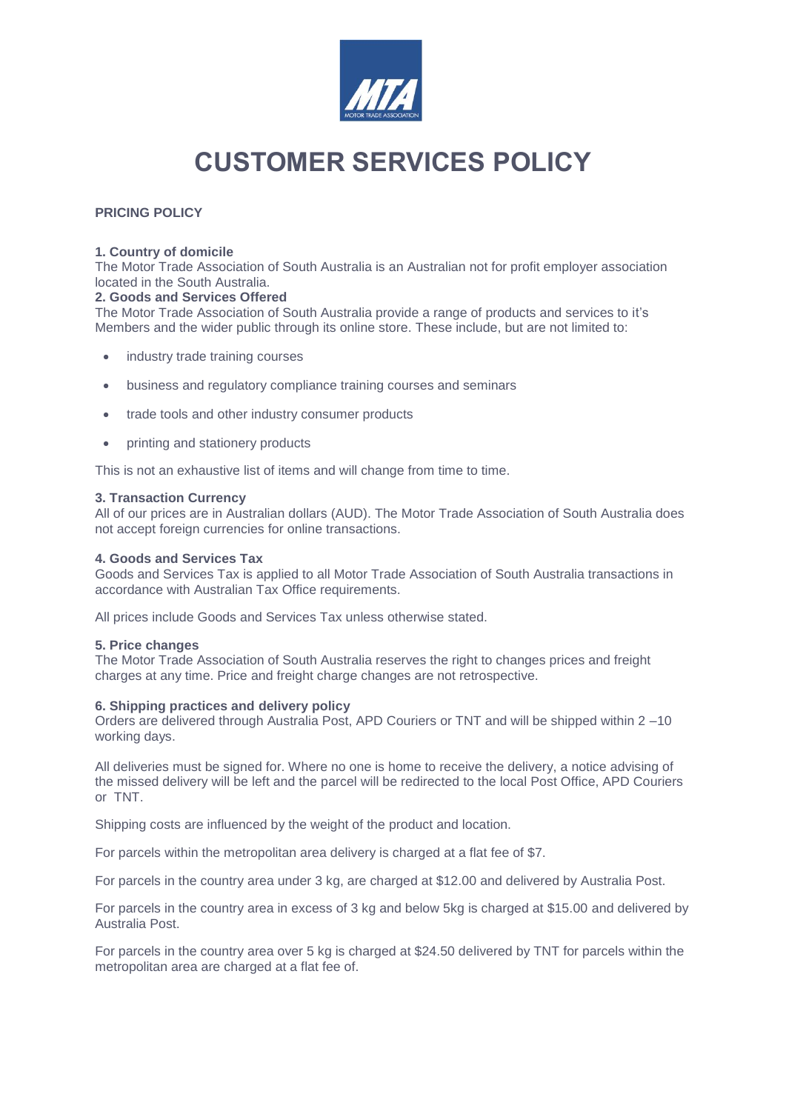

# **CUSTOMER SERVICES POLICY**

# **PRICING POLICY**

## **1. Country of domicile**

The Motor Trade Association of South Australia is an Australian not for profit employer association located in the South Australia.

## **2. Goods and Services Offered**

The Motor Trade Association of South Australia provide a range of products and services to it's Members and the wider public through its online store. These include, but are not limited to:

- industry trade training courses
- business and regulatory compliance training courses and seminars
- trade tools and other industry consumer products
- printing and stationery products

This is not an exhaustive list of items and will change from time to time.

# **3. Transaction Currency**

All of our prices are in Australian dollars (AUD). The Motor Trade Association of South Australia does not accept foreign currencies for online transactions.

## **4. Goods and Services Tax**

Goods and Services Tax is applied to all Motor Trade Association of South Australia transactions in accordance with Australian Tax Office requirements.

All prices include Goods and Services Tax unless otherwise stated.

#### **5. Price changes**

The Motor Trade Association of South Australia reserves the right to changes prices and freight charges at any time. Price and freight charge changes are not retrospective.

#### **6. Shipping practices and delivery policy**

Orders are delivered through Australia Post, APD Couriers or TNT and will be shipped within 2 –10 working days.

All deliveries must be signed for. Where no one is home to receive the delivery, a notice advising of the missed delivery will be left and the parcel will be redirected to the local Post Office, APD Couriers or TNT.

Shipping costs are influenced by the weight of the product and location.

For parcels within the metropolitan area delivery is charged at a flat fee of \$7.

For parcels in the country area under 3 kg, are charged at \$12.00 and delivered by Australia Post.

For parcels in the country area in excess of 3 kg and below 5kg is charged at \$15.00 and delivered by Australia Post.

For parcels in the country area over 5 kg is charged at \$24.50 delivered by TNT for parcels within the metropolitan area are charged at a flat fee of.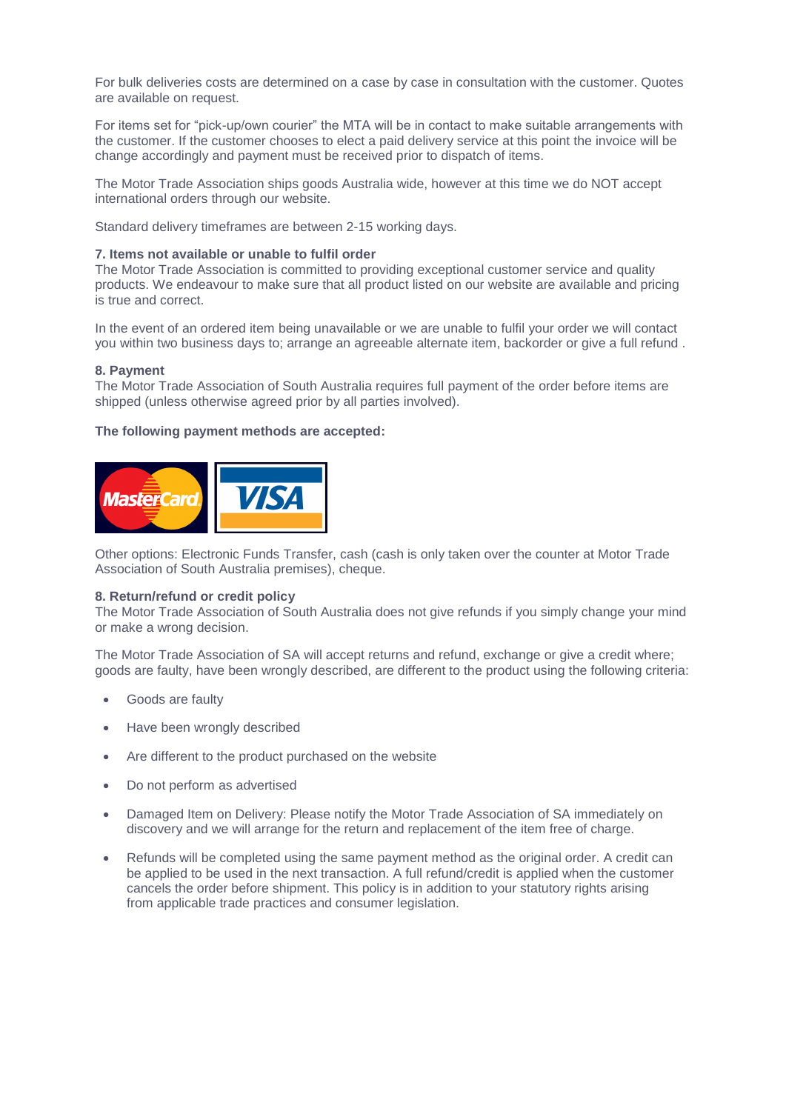For bulk deliveries costs are determined on a case by case in consultation with the customer. Quotes are available on request.

For items set for "pick-up/own courier" the MTA will be in contact to make suitable arrangements with the customer. If the customer chooses to elect a paid delivery service at this point the invoice will be change accordingly and payment must be received prior to dispatch of items.

The Motor Trade Association ships goods Australia wide, however at this time we do NOT accept international orders through our website.

Standard delivery timeframes are between 2-15 working days.

#### **7. Items not available or unable to fulfil order**

The Motor Trade Association is committed to providing exceptional customer service and quality products. We endeavour to make sure that all product listed on our website are available and pricing is true and correct.

In the event of an ordered item being unavailable or we are unable to fulfil your order we will contact you within two business days to; arrange an agreeable alternate item, backorder or give a full refund .

#### **8. Payment**

The Motor Trade Association of South Australia requires full payment of the order before items are shipped (unless otherwise agreed prior by all parties involved).

#### **The following payment methods are accepted:**



Other options: Electronic Funds Transfer, cash (cash is only taken over the counter at Motor Trade Association of South Australia premises), cheque.

#### **8. Return/refund or credit policy**

The Motor Trade Association of South Australia does not give refunds if you simply change your mind or make a wrong decision.

The Motor Trade Association of SA will accept returns and refund, exchange or give a credit where; goods are faulty, have been wrongly described, are different to the product using the following criteria:

- Goods are faulty
- Have been wrongly described
- Are different to the product purchased on the website
- Do not perform as advertised
- Damaged Item on Delivery: Please notify the Motor Trade Association of SA immediately on discovery and we will arrange for the return and replacement of the item free of charge.
- Refunds will be completed using the same payment method as the original order. A credit can be applied to be used in the next transaction. A full refund/credit is applied when the customer cancels the order before shipment. This policy is in addition to your statutory rights arising from applicable trade practices and consumer legislation.